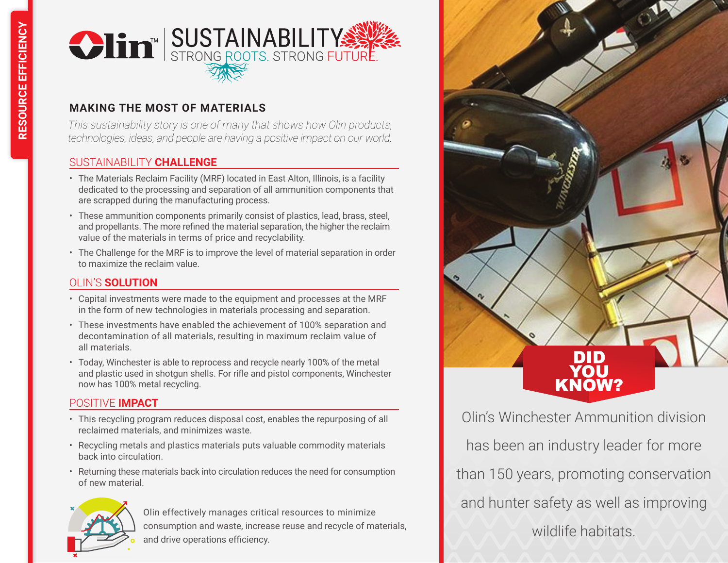

# **MAKING THE MOST OF MATERIALS**

*This sustainability story is one of many that shows how Olin products, technologies, ideas, and people are having a positive impact on our world.*

# SUSTAINABILITY **CHALLENGE**

- The Materials Reclaim Facility (MRF) located in East Alton, Illinois, is a facility dedicated to the processing and separation of all ammunition components that are scrapped during the manufacturing process.
- These ammunition components primarily consist of plastics, lead, brass, steel, and propellants. The more refined the material separation, the higher the reclaim value of the materials in terms of price and recyclability.
- The Challenge for the MRF is to improve the level of material separation in order to maximize the reclaim value.

### OLIN'S **SOLUTION**

- Capital investments were made to the equipment and processes at the MRF in the form of new technologies in materials processing and separation.
- These investments have enabled the achievement of 100% separation and decontamination of all materials, resulting in maximum reclaim value of all materials.
- Today, Winchester is able to reprocess and recycle nearly 100% of the metal and plastic used in shotgun shells. For rifle and pistol components, Winchester now has 100% metal recycling.

### POSITIVE **IMPACT**

- This recycling program reduces disposal cost, enables the repurposing of all reclaimed materials, and minimizes waste.
- Recycling metals and plastics materials puts valuable commodity materials back into circulation.
- Returning these materials back into circulation reduces the need for consumption of new material.



Olin effectively manages critical resources to minimize consumption and waste, increase reuse and recycle of materials, and drive operations efficiency.



Olin's Winchester Ammunition division has been an industry leader for more than 150 years, promoting conservation and hunter safety as well as improving wildlife habitats.